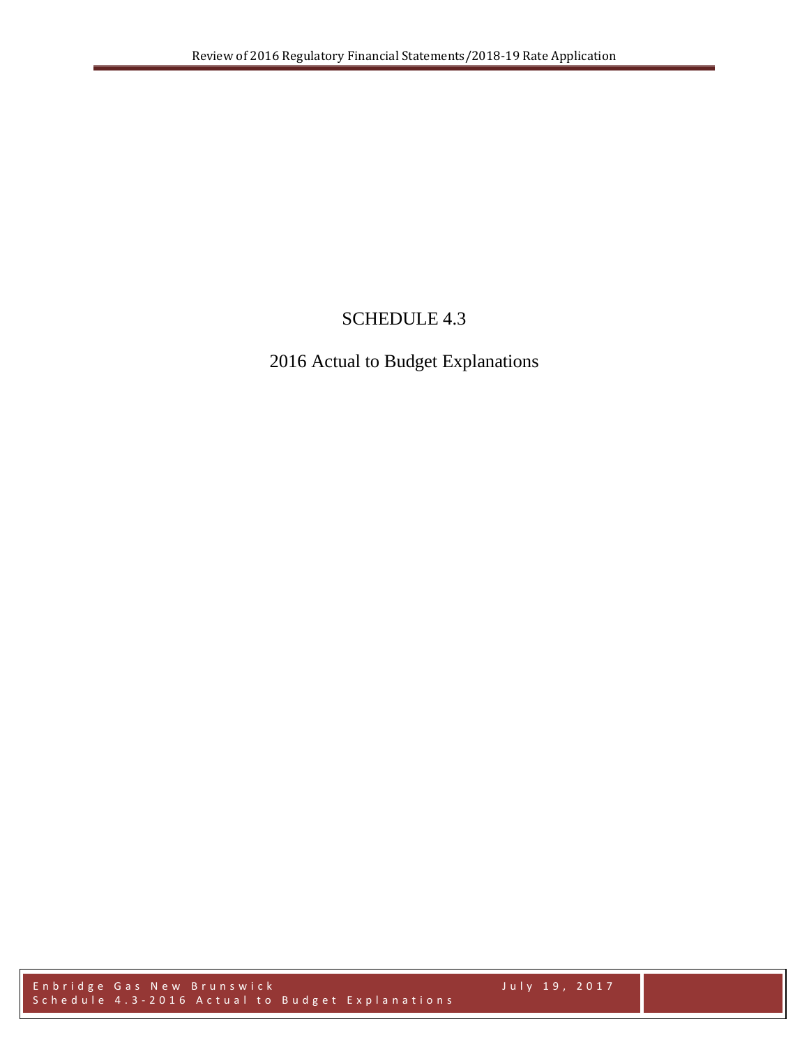# SCHEDULE 4.3

# 2016 Actual to Budget Explanations

Enbridge Gas New Brunswick July 19, 2017 Schedule 4.3 - 2016 Actual to Budget Explanations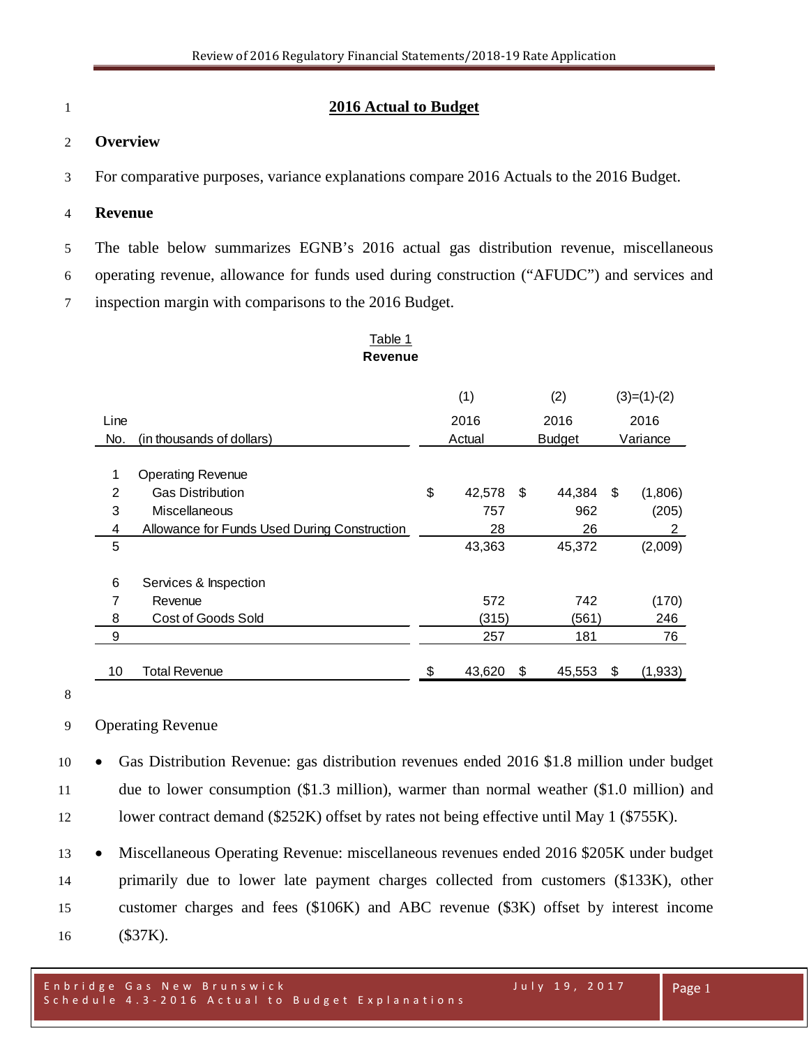# **2016 Actual to Budget**

## **Overview**

For comparative purposes, variance explanations compare 2016 Actuals to the 2016 Budget.

#### **Revenue**

The table below summarizes EGNB's 2016 actual gas distribution revenue, miscellaneous

operating revenue, allowance for funds used during construction ("AFUDC") and services and

inspection margin with comparisons to the 2016 Budget.

#### Table 1 **Revenue**

|                |                                              | (1) |                         |    | (2)      |    | $(3)=(1)-(2)$ |
|----------------|----------------------------------------------|-----|-------------------------|----|----------|----|---------------|
| Line           |                                              |     | 2016<br>2016            |    | 2016     |    |               |
| No.            | (in thousands of dollars)                    |     | Actual<br><b>Budget</b> |    | Variance |    |               |
|                |                                              |     |                         |    |          |    |               |
| 1              | <b>Operating Revenue</b>                     |     |                         |    |          |    |               |
| $\overline{2}$ | <b>Gas Distribution</b>                      | \$  | 42,578                  | \$ | 44,384   | \$ | (1,806)       |
| 3              | Miscellaneous                                |     | 757                     |    | 962      |    | (205)         |
| 4              | Allowance for Funds Used During Construction |     | 28                      |    | 26       |    | 2             |
| 5              |                                              |     | 43,363                  |    | 45,372   |    | (2,009)       |
|                |                                              |     |                         |    |          |    |               |
| 6              | Services & Inspection                        |     |                         |    |          |    |               |
| 7              | Revenue                                      |     | 572                     |    | 742      |    | (170)         |
| 8              | Cost of Goods Sold                           |     | (315)                   |    | (561)    |    | 246           |
| 9              |                                              |     | 257                     |    | 181      |    | 76            |
|                |                                              |     |                         |    |          |    |               |
| 10             | Total Revenue                                | \$  | 43,620                  | \$ | 45,553   | \$ | (1,933)       |

#### Operating Revenue

 • Gas Distribution Revenue: gas distribution revenues ended 2016 \$1.8 million under budget due to lower consumption (\$1.3 million), warmer than normal weather (\$1.0 million) and 12 lower contract demand (\$252K) offset by rates not being effective until May 1 (\$755K).

 • Miscellaneous Operating Revenue: miscellaneous revenues ended 2016 \$205K under budget primarily due to lower late payment charges collected from customers (\$133K), other customer charges and fees (\$106K) and ABC revenue (\$3K) offset by interest income (\$37K).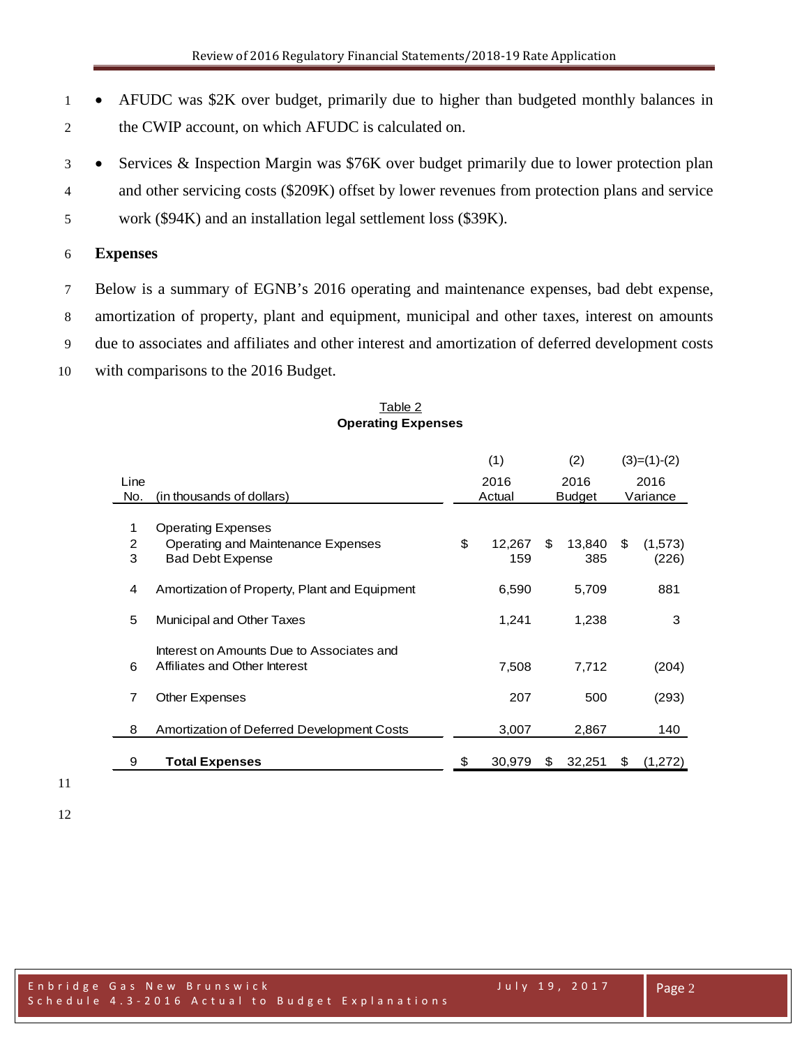- AFUDC was \$2K over budget, primarily due to higher than budgeted monthly balances in the CWIP account, on which AFUDC is calculated on.
- Services & Inspection Margin was \$76K over budget primarily due to lower protection plan
- and other servicing costs (\$209K) offset by lower revenues from protection plans and service
- work (\$94K) and an installation legal settlement loss (\$39K).

#### **Expenses**

- Below is a summary of EGNB's 2016 operating and maintenance expenses, bad debt expense, amortization of property, plant and equipment, municipal and other taxes, interest on amounts due to associates and affiliates and other interest and amortization of deferred development costs
- with comparisons to the 2016 Budget.

|      |                                               | (1)          |    | (2)           |    | $(3)=(1)-(2)$ |
|------|-----------------------------------------------|--------------|----|---------------|----|---------------|
| Line |                                               | 2016         |    | 2016          |    | 2016          |
| No.  | (in thousands of dollars)                     | Actual       |    | <b>Budget</b> |    | Variance      |
|      |                                               |              |    |               |    |               |
| 1    | <b>Operating Expenses</b>                     |              |    |               |    |               |
| 2    | Operating and Maintenance Expenses            | \$<br>12.267 | \$ | 13,840        | \$ | (1,573)       |
| 3    | <b>Bad Debt Expense</b>                       | 159          |    | 385           |    | (226)         |
|      |                                               |              |    |               |    |               |
| 4    | Amortization of Property, Plant and Equipment | 6,590        |    | 5,709         |    | 881           |
|      |                                               |              |    |               |    |               |
| 5    | Municipal and Other Taxes                     | 1,241        |    | 1,238         |    | 3             |
|      |                                               |              |    |               |    |               |
|      | Interest on Amounts Due to Associates and     |              |    |               |    |               |
| 6    | Affiliates and Other Interest                 | 7,508        |    | 7,712         |    | (204)         |
|      |                                               |              |    |               |    |               |
| 7    | <b>Other Expenses</b>                         | 207          |    | 500           |    | (293)         |
|      |                                               |              |    |               |    |               |
| 8    | Amortization of Deferred Development Costs    | 3,007        |    | 2,867         |    | 140           |
|      |                                               |              |    |               |    |               |
| 9    | <b>Total Expenses</b>                         | \$<br>30.979 | S  | 32,251        | \$ | (1,272)       |

#### Table 2 **Operating Expenses**

- 
-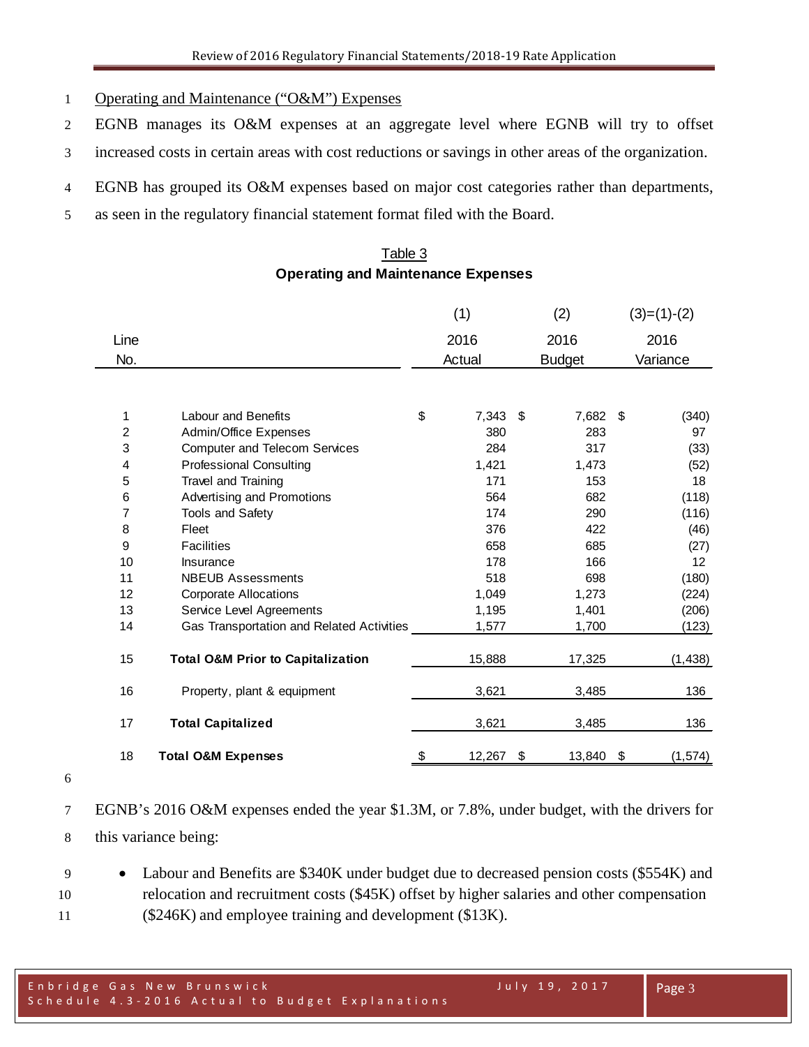- Operating and Maintenance ("O&M") Expenses
- EGNB manages its O&M expenses at an aggregate level where EGNB will try to offset
- increased costs in certain areas with cost reductions or savings in other areas of the organization.
- EGNB has grouped its O&M expenses based on major cost categories rather than departments,
- as seen in the regulatory financial statement format filed with the Board.

# Table 3 **Operating and Maintenance Expenses**

|                |                                              | (1)          | (2)           | $(3)=(1)-(2)$  |
|----------------|----------------------------------------------|--------------|---------------|----------------|
| Line           |                                              | 2016         | 2016          | 2016           |
| No.            |                                              | Actual       | <b>Budget</b> | Variance       |
|                |                                              |              |               |                |
| 1              | <b>Labour and Benefits</b>                   | \$<br>7,343  | \$<br>7,682   | \$<br>(340)    |
| $\overline{c}$ | Admin/Office Expenses                        | 380          | 283           | 97             |
| 3              | <b>Computer and Telecom Services</b>         | 284          | 317           | (33)           |
| $\overline{4}$ | <b>Professional Consulting</b>               | 1,421        | 1,473         | (52)           |
| 5              | <b>Travel and Training</b>                   | 171          | 153           | 18             |
| 6              | Advertising and Promotions                   | 564          | 682           | (118)          |
| 7              | <b>Tools and Safety</b>                      | 174          | 290           | (116)          |
| 8              | Fleet                                        | 376          | 422           | (46)           |
| 9              | <b>Facilities</b>                            | 658          | 685           | (27)           |
| 10             | Insurance                                    | 178          | 166           | 12             |
| 11             | <b>NBEUB Assessments</b>                     | 518          | 698           | (180)          |
| 12             | <b>Corporate Allocations</b>                 | 1,049        | 1,273         | (224)          |
| 13             | Service Level Agreements                     | 1,195        | 1,401         | (206)          |
| 14             | Gas Transportation and Related Activities    | 1,577        | 1,700         | (123)          |
| 15             | <b>Total O&amp;M Prior to Capitalization</b> | 15,888       | 17,325        | (1, 438)       |
| 16             | Property, plant & equipment                  | 3,621        | 3,485         | 136            |
| 17             | <b>Total Capitalized</b>                     | 3,621        | 3,485         | 136            |
| 18             | <b>Total O&amp;M Expenses</b>                | \$<br>12,267 | \$<br>13,840  | \$<br>(1, 574) |

- 
- EGNB's 2016 O&M expenses ended the year \$1.3M, or 7.8%, under budget, with the drivers for this variance being:
- Labour and Benefits are \$340K under budget due to decreased pension costs (\$554K) and relocation and recruitment costs (\$45K) offset by higher salaries and other compensation (\$246K) and employee training and development (\$13K).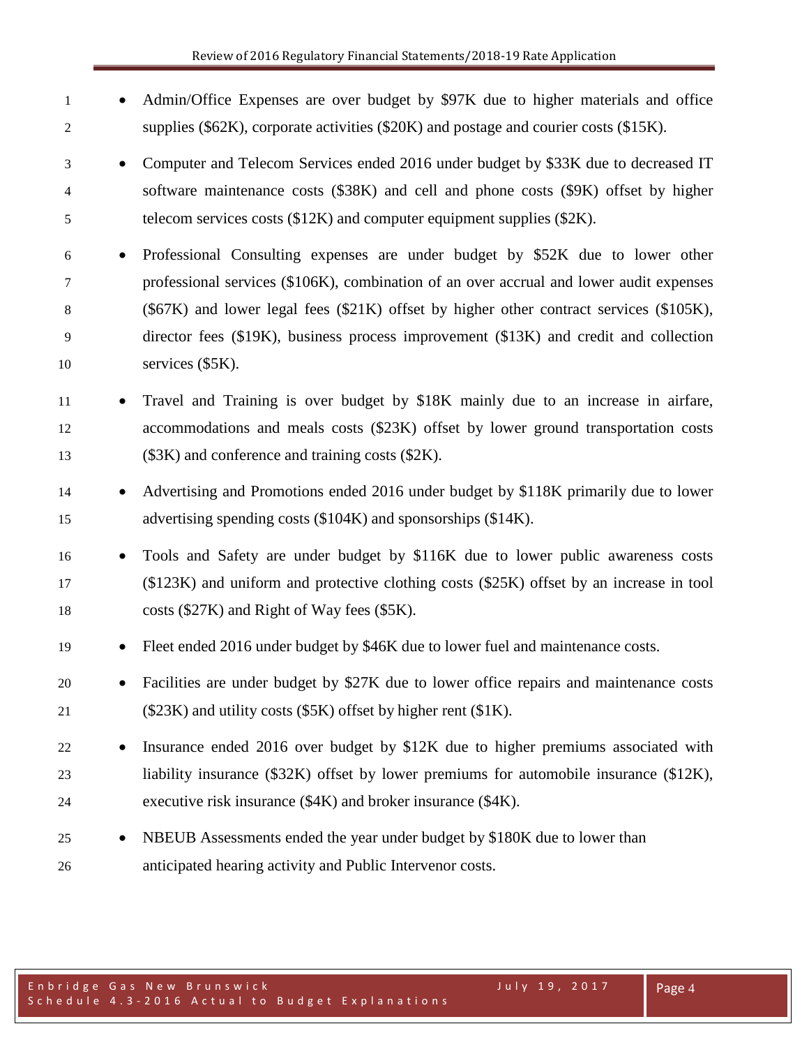• Admin/Office Expenses are over budget by \$97K due to higher materials and office supplies (\$62K), corporate activities (\$20K) and postage and courier costs (\$15K). • Computer and Telecom Services ended 2016 under budget by \$33K due to decreased IT software maintenance costs (\$38K) and cell and phone costs (\$9K) offset by higher telecom services costs (\$12K) and computer equipment supplies (\$2K). • Professional Consulting expenses are under budget by \$52K due to lower other professional services (\$106K), combination of an over accrual and lower audit expenses (\$67K) and lower legal fees (\$21K) offset by higher other contract services (\$105K), director fees (\$19K), business process improvement (\$13K) and credit and collection services (\$5K). • Travel and Training is over budget by \$18K mainly due to an increase in airfare, accommodations and meals costs (\$23K) offset by lower ground transportation costs (\$3K) and conference and training costs (\$2K). • Advertising and Promotions ended 2016 under budget by \$118K primarily due to lower advertising spending costs (\$104K) and sponsorships (\$14K). • Tools and Safety are under budget by \$116K due to lower public awareness costs (\$123K) and uniform and protective clothing costs (\$25K) offset by an increase in tool costs (\$27K) and Right of Way fees (\$5K). • Fleet ended 2016 under budget by \$46K due to lower fuel and maintenance costs. • Facilities are under budget by \$27K due to lower office repairs and maintenance costs (\$23K) and utility costs (\$5K) offset by higher rent (\$1K). • Insurance ended 2016 over budget by \$12K due to higher premiums associated with liability insurance (\$32K) offset by lower premiums for automobile insurance (\$12K), executive risk insurance (\$4K) and broker insurance (\$4K). • NBEUB Assessments ended the year under budget by \$180K due to lower than anticipated hearing activity and Public Intervenor costs.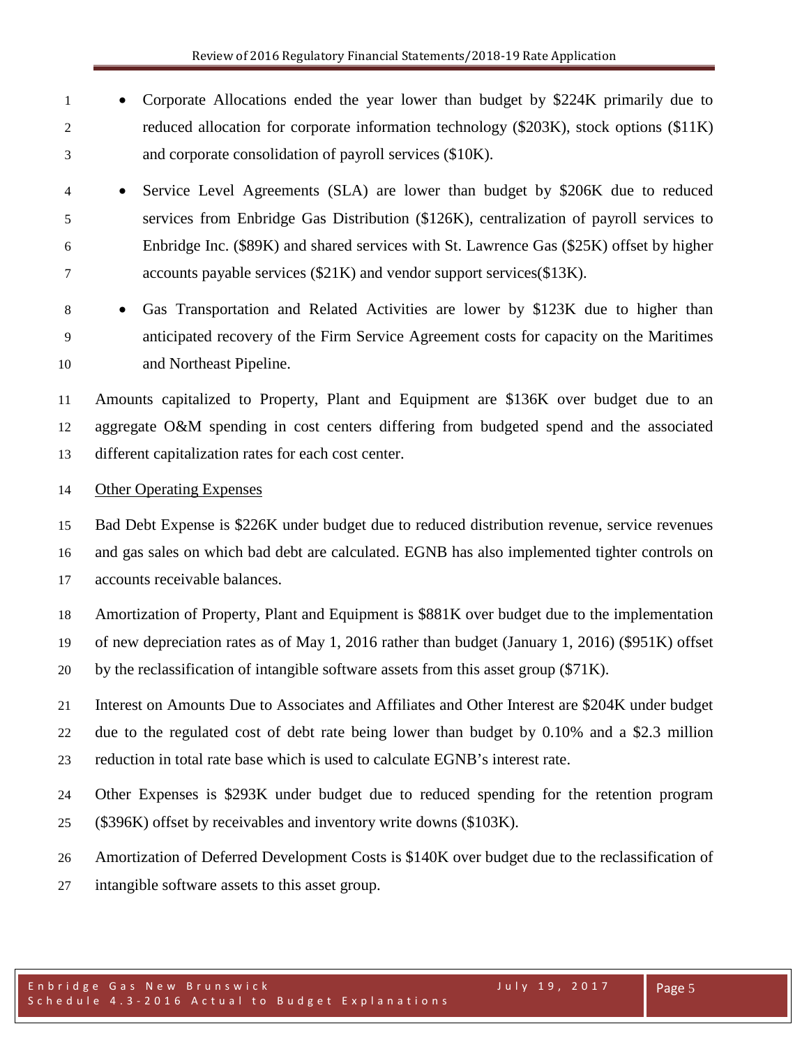- Corporate Allocations ended the year lower than budget by \$224K primarily due to reduced allocation for corporate information technology (\$203K), stock options (\$11K) and corporate consolidation of payroll services (\$10K).
- Service Level Agreements (SLA) are lower than budget by \$206K due to reduced services from Enbridge Gas Distribution (\$126K), centralization of payroll services to Enbridge Inc. (\$89K) and shared services with St. Lawrence Gas (\$25K) offset by higher accounts payable services (\$21K) and vendor support services(\$13K).
- 

 • Gas Transportation and Related Activities are lower by \$123K due to higher than anticipated recovery of the Firm Service Agreement costs for capacity on the Maritimes and Northeast Pipeline.

 Amounts capitalized to Property, Plant and Equipment are \$136K over budget due to an aggregate O&M spending in cost centers differing from budgeted spend and the associated different capitalization rates for each cost center.

### Other Operating Expenses

 Bad Debt Expense is \$226K under budget due to reduced distribution revenue, service revenues and gas sales on which bad debt are calculated. EGNB has also implemented tighter controls on accounts receivable balances.

 Amortization of Property, Plant and Equipment is \$881K over budget due to the implementation of new depreciation rates as of May 1, 2016 rather than budget (January 1, 2016) (\$951K) offset

by the reclassification of intangible software assets from this asset group (\$71K).

 Interest on Amounts Due to Associates and Affiliates and Other Interest are \$204K under budget due to the regulated cost of debt rate being lower than budget by 0.10% and a \$2.3 million reduction in total rate base which is used to calculate EGNB's interest rate.

Other Expenses is \$293K under budget due to reduced spending for the retention program

- (\$396K) offset by receivables and inventory write downs (\$103K).
- Amortization of Deferred Development Costs is \$140K over budget due to the reclassification of
- intangible software assets to this asset group.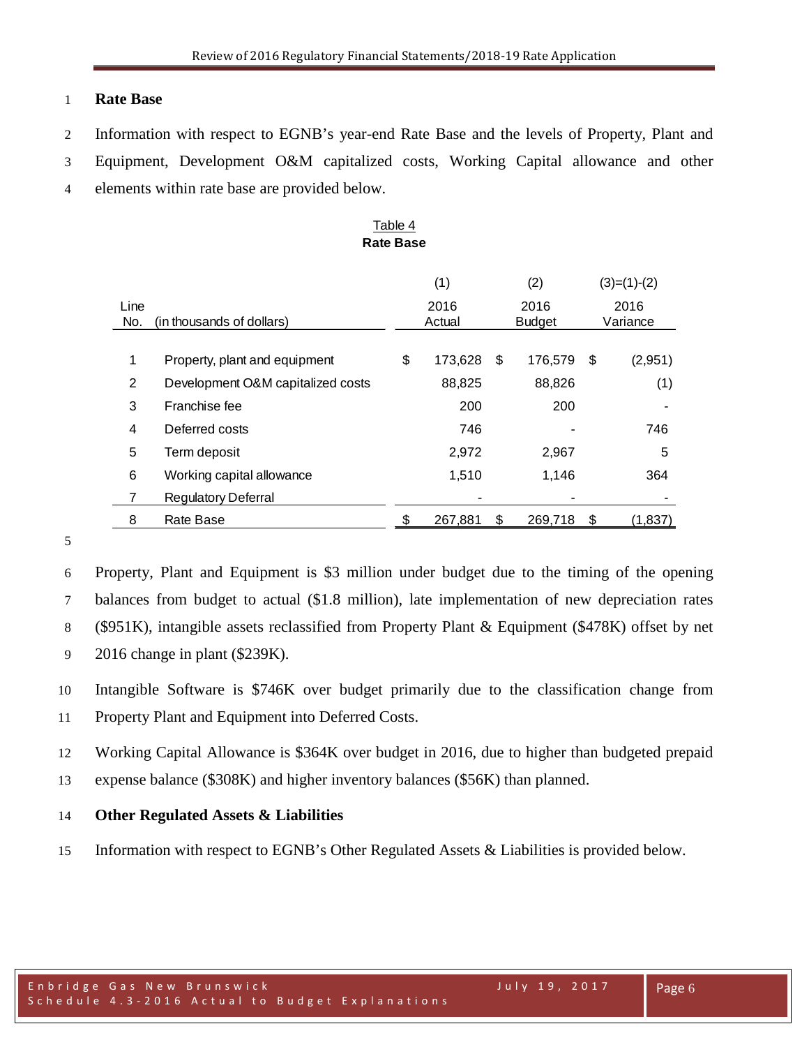# Equipment, Development O&M capitalized costs, Working Capital allowance and other elements within rate base are provided below.

# Table 4 **Rate Base**

Line 2016 2016 2016

(1)  $(2)$   $(3)=(1)-(2)$ 

Information with respect to EGNB's year-end Rate Base and the levels of Property, Plant and

Review of 2016 Regulatory Financial Statements/2018-19 Rate Application

| No.            | (in thousands of dollars)                                                                                                                                                                                                                                                                                    |    | Actual  |      | <b>Budget</b> |      | Variance |
|----------------|--------------------------------------------------------------------------------------------------------------------------------------------------------------------------------------------------------------------------------------------------------------------------------------------------------------|----|---------|------|---------------|------|----------|
|                |                                                                                                                                                                                                                                                                                                              |    |         |      |               |      |          |
| $\mathbf 1$    | Property, plant and equipment                                                                                                                                                                                                                                                                                | \$ | 173,628 | - \$ | 176,579       | \$   | (2,951)  |
| $\overline{2}$ | Development O&M capitalized costs                                                                                                                                                                                                                                                                            |    | 88,825  |      | 88,826        |      | (1)      |
| 3              | Franchise fee                                                                                                                                                                                                                                                                                                |    | 200     |      | 200           |      |          |
| 4              | Deferred costs                                                                                                                                                                                                                                                                                               |    | 746     |      |               |      | 746      |
| 5              | Term deposit                                                                                                                                                                                                                                                                                                 |    | 2,972   |      | 2,967         |      | 5        |
| 6              | Working capital allowance                                                                                                                                                                                                                                                                                    |    | 1,510   |      | 1,146         |      | 364      |
| 7              | <b>Regulatory Deferral</b>                                                                                                                                                                                                                                                                                   |    |         |      |               |      |          |
| 8              | Rate Base                                                                                                                                                                                                                                                                                                    | £. | 267,881 | \$   | 269,718       | - \$ | (1,837)  |
|                |                                                                                                                                                                                                                                                                                                              |    |         |      |               |      |          |
|                | $\mathbf{D1}$ , $\mathbf{1}$ , $\mathbf{P}$ , $\mathbf{P}$ , $\mathbf{P}$ , $\mathbf{P}$ , $\mathbf{P}$ , $\mathbf{P}$ , $\mathbf{P}$ , $\mathbf{P}$ , $\mathbf{P}$ , $\mathbf{P}$ , $\mathbf{P}$ , $\mathbf{P}$ , $\mathbf{P}$ , $\mathbf{P}$ , $\mathbf{P}$ , $\mathbf{P}$ , $\mathbf{P}$ , $\mathbf{P}$ , |    |         |      |               |      |          |

 Property, Plant and Equipment is \$3 million under budget due to the timing of the opening balances from budget to actual (\$1.8 million), late implementation of new depreciation rates (\$951K), intangible assets reclassified from Property Plant & Equipment (\$478K) offset by net 2016 change in plant (\$239K).

 Intangible Software is \$746K over budget primarily due to the classification change from Property Plant and Equipment into Deferred Costs.

Working Capital Allowance is \$364K over budget in 2016, due to higher than budgeted prepaid

expense balance (\$308K) and higher inventory balances (\$56K) than planned.

# **Other Regulated Assets & Liabilities**

**Rate Base** 

Information with respect to EGNB's Other Regulated Assets & Liabilities is provided below.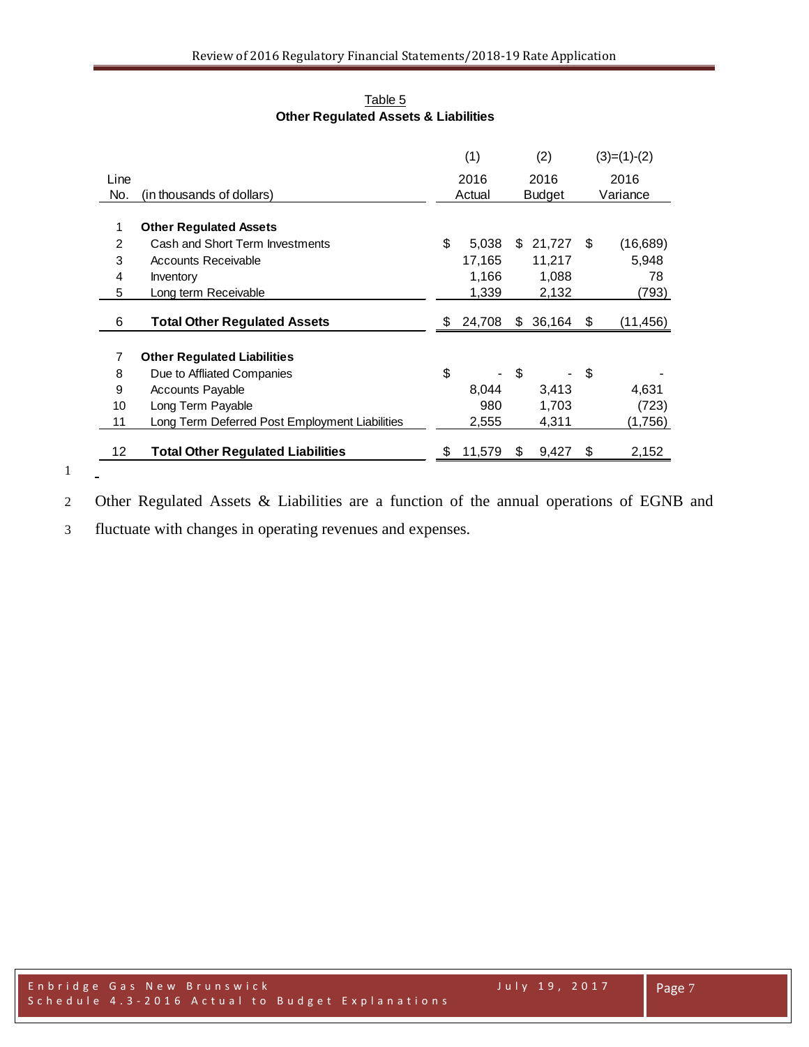| Table 5                                         |
|-------------------------------------------------|
| <b>Other Regulated Assets &amp; Liabilities</b> |

|      |                                                |    | (1)    |    | (2)           |    | $(3)=(1)-(2)$ |
|------|------------------------------------------------|----|--------|----|---------------|----|---------------|
| Line |                                                |    | 2016   |    | 2016          |    | 2016          |
| No.  | (in thousands of dollars)                      |    | Actual |    | <b>Budget</b> |    | Variance      |
|      |                                                |    |        |    |               |    |               |
| 1    | <b>Other Regulated Assets</b>                  |    |        |    |               |    |               |
| 2    | Cash and Short Term Investments                | \$ | 5,038  | S. | 21,727        | S  | (16,689)      |
| 3    | Accounts Receivable                            |    | 17,165 |    | 11,217        |    | 5,948         |
| 4    | Inventory                                      |    | 1,166  |    | 1,088         |    | 78            |
| 5    | Long term Receivable                           |    | 1,339  |    | 2,132         |    | (793)         |
|      |                                                |    |        |    |               |    |               |
| 6    | <b>Total Other Regulated Assets</b>            | S  | 24,708 | \$ | 36,164        | \$ | (11,456)      |
| 7    | <b>Other Regulated Liabilities</b>             |    |        |    |               |    |               |
| 8    | Due to Affliated Companies                     | \$ |        | \$ |               | \$ |               |
| 9    | <b>Accounts Payable</b>                        |    | 8,044  |    | 3,413         |    | 4,631         |
| 10   | Long Term Payable                              |    | 980    |    | 1,703         |    | (723)         |
| 11   | Long Term Deferred Post Employment Liabilities |    | 2,555  |    | 4,311         |    | (1,756)       |
| 12.  | <b>Total Other Regulated Liabilities</b>       |    | 11,579 | S  | 9,427         | \$ | 2,152         |

Other Regulated Assets & Liabilities are a function of the annual operations of EGNB and

fluctuate with changes in operating revenues and expenses.